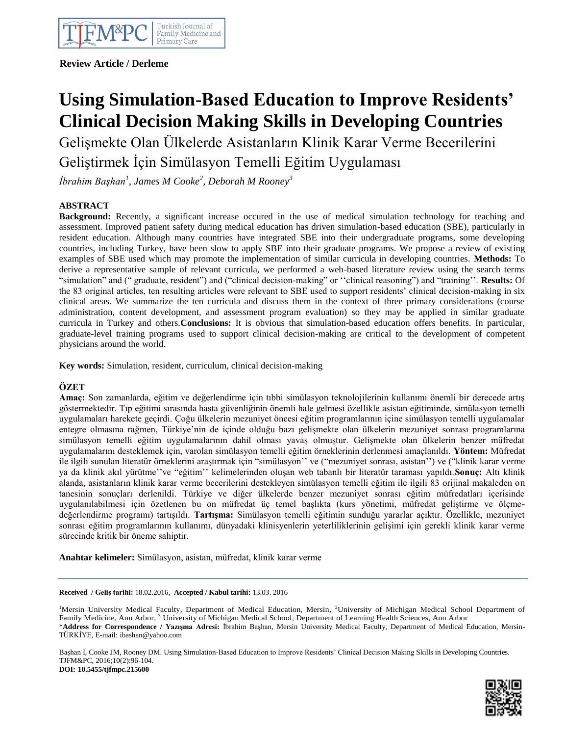**Review Article / Derleme**

# **Using Simulation-Based Education to Improve Residents' Clinical Decision Making Skills in Developing Countries**

Gelişmekte Olan Ülkelerde Asistanların Klinik Karar Verme Becerilerini Geliştirmek İçin Simülasyon Temelli Eğitim Uygulaması

*İbrahim Başhan<sup>1</sup> , James M Cooke<sup>2</sup> , Deborah M Rooney<sup>3</sup>*

# **ABSTRACT**

**Background:** Recently, a significant increase occured in the use of medical simulation technology for teaching and assessment. Improved patient safety during medical education has driven simulation-based education (SBE), particularly in resident education. Although many countries have integrated SBE into their undergraduate programs, some developing countries, including Turkey, have been slow to apply SBE into their graduate programs. We propose a review of existing examples of SBE used which may promote the implementation of similar curricula in developing countries. **Methods:** To derive a representative sample of relevant curricula, we performed a web-based literature review using the search terms "simulation" and (" graduate, resident") and ("clinical decision-making" or ""clinical reasoning") and "training"". **Results:** Of the 83 original articles, ten resulting articles were relevant to SBE used to support residents" clinical decision-making in six clinical areas. We summarize the ten curricula and discuss them in the context of three primary considerations (course administration, content development, and assessment program evaluation) so they may be applied in similar graduate curricula in Turkey and others.**Conclusions:** It is obvious that simulation-based education offers benefits. In particular, graduate-level training programs used to support clinical decision-making are critical to the development of competent physicians around the world.

**Key words:** Simulation, resident, curriculum, clinical decision-making

# **ÖZET**

**Amaç:** Son zamanlarda, eğitim ve değerlendirme için tıbbi simülasyon teknolojilerinin kullanımı önemli bir derecede artış göstermektedir. Tıp eğitimi sırasında hasta güvenliğinin önemli hale gelmesi özellikle asistan eğitiminde, simülasyon temelli uygulamaları harekete geçirdi. Çoğu ülkelerin mezuniyet öncesi eğitim programlarının içine simülasyon temelli uygulamalar entegre olmasına rağmen, Türkiye"nin de içinde olduğu bazı gelişmekte olan ülkelerin mezuniyet sonrası programlarına simülasyon temelli eğitim uygulamalarının dahil olması yavaş olmuştur. Gelişmekte olan ülkelerin benzer müfredat uygulamalarını desteklemek için, varolan simülasyon temelli eğitim örneklerinin derlenmesi amaçlanıldı. **Yöntem:** Müfredat ile ilgili sunulan literatür örneklerini araştırmak için "simülasyon"" ve ("mezuniyet sonrası, asistan"") ve ("klinik karar verme ya da klinik akıl yürütme""ve "eğitim"" kelimelerinden oluşan web tabanlı bir literatür taraması yapıldı.**Sonuç:** Altı klinik alanda, asistanların klinik karar verme becerilerini destekleyen simülasyon temelli eğitim ile ilgili 83 orijinal makaleden on tanesinin sonuçları derlenildi. Türkiye ve diğer ülkelerde benzer mezuniyet sonrası eğitim müfredatları içerisinde uygulanılabilmesi için özetlenen bu on müfredat üç temel başlıkta (kurs yönetimi, müfredat geliştirme ve ölçmedeğerlendirme programı) tartışıldı. **Tartışma:** Simülasyon temelli eğitimin sunduğu yararlar açıktır. Özellikle, mezuniyet sonrası eğitim programlarının kullanımı, dünyadaki klinisyenlerin yeterliliklerinin gelişimi için gerekli klinik karar verme sürecinde kritik bir öneme sahiptir.

**Anahtar kelimeler:** Simülasyon, asistan, müfredat, klinik karar verme

## **Received / Geliş tarihi:** 18.02.2016, **Accepted / Kabul tarihi:** 13.03. 2016

<sup>1</sup>Mersin University Medical Faculty, Department of Medical Education, Mersin, <sup>2</sup>University of Michigan Medical School Department of Family Medicine, Ann Arbor,<sup>3</sup> University of Michigan Medical School, Department of Learning Health Sciences, Ann Arbor \***Address for Correspondence / Yazışma Adresi:** İbrahim Başhan, Mersin University Medical Faculty, Department of Medical Education, Mersin-TÜRKİYE, E-mail: ibashan@yahoo.com

Başhan İ, Cooke JM, Rooney DM. Using Simulation-Based Education to Improve Residents" Clinical Decision Making Skills in Developing Countries. TJFM&PC, 2016;10(2):96-104. **DOI: 10.5455/tjfmpc.215600**

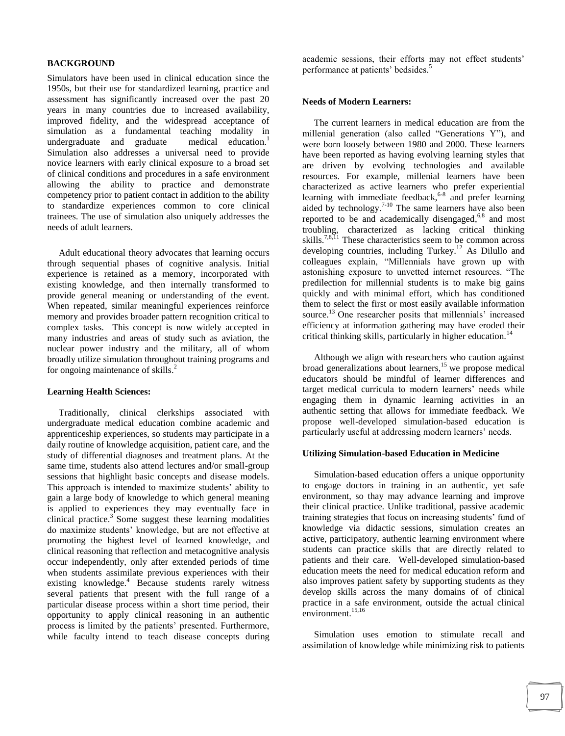## **BACKGROUND**

Simulators have been used in clinical education since the 1950s, but their use for standardized learning, practice and assessment has significantly increased over the past 20 years in many countries due to increased availability, improved fidelity, and the widespread acceptance of simulation as a fundamental teaching modality in undergraduate and graduate medical education.<sup>1</sup> Simulation also addresses a universal need to provide novice learners with early clinical exposure to a broad set of clinical conditions and procedures in a safe environment allowing the ability to practice and demonstrate competency prior to patient contact in addition to the ability to standardize experiences common to core clinical trainees. The use of simulation also uniquely addresses the needs of adult learners.

 Adult educational theory advocates that learning occurs through sequential phases of cognitive analysis. Initial experience is retained as a memory, incorporated with existing knowledge, and then internally transformed to provide general meaning or understanding of the event. When repeated, similar meaningful experiences reinforce memory and provides broader pattern recognition critical to complex tasks. This concept is now widely accepted in many industries and areas of study such as aviation, the nuclear power industry and the military, all of whom broadly utilize simulation throughout training programs and for ongoing maintenance of skills.<sup>2</sup>

#### **Learning Health Sciences:**

 Traditionally, clinical clerkships associated with undergraduate medical education combine academic and apprenticeship experiences, so students may participate in a daily routine of knowledge acquisition, patient care, and the study of differential diagnoses and treatment plans. At the same time, students also attend lectures and/or small-group sessions that highlight basic concepts and disease models. This approach is intended to maximize students' ability to gain a large body of knowledge to which general meaning is applied to experiences they may eventually face in clinical practice. $3$  Some suggest these learning modalities do maximize students" knowledge, but are not effective at promoting the highest level of learned knowledge, and clinical reasoning that reflection and metacognitive analysis occur independently, only after extended periods of time when students assimilate previous experiences with their existing knowledge.<sup>4</sup> Because students rarely witness several patients that present with the full range of a particular disease process within a short time period, their opportunity to apply clinical reasoning in an authentic process is limited by the patients" presented. Furthermore, while faculty intend to teach disease concepts during academic sessions, their efforts may not effect students' performance at patients' bedsides.<sup>5</sup>

#### **Needs of Modern Learners:**

 The current learners in medical education are from the millenial generation (also called "Generations Y"), and were born loosely between 1980 and 2000. These learners have been reported as having evolving learning styles that are driven by evolving technologies and available resources. For example, millenial learners have been characterized as active learners who prefer experiential learning with immediate feedback,<sup>6-8</sup> and prefer learning aided by technology.<sup>7-10</sup> The same learners have also been reported to be and academically disengaged,<sup>6,8</sup> and most troubling, characterized as lacking critical thinking skills.<sup>7,8,11</sup> These characteristics seem to be common across developing countries, including Turkey.<sup>12</sup> As Dilullo and colleagues explain, "Millennials have grown up with astonishing exposure to unvetted internet resources. "The predilection for millennial students is to make big gains quickly and with minimal effort, which has conditioned them to select the first or most easily available information source.<sup>13</sup> One researcher posits that millennials' increased efficiency at information gathering may have eroded their critical thinking skills, particularly in higher education.<sup>14</sup>

 Although we align with researchers who caution against broad generalizations about learners,<sup>15</sup> we propose medical educators should be mindful of learner differences and target medical curricula to modern learners' needs while engaging them in dynamic learning activities in an authentic setting that allows for immediate feedback. We propose well-developed simulation-based education is particularly useful at addressing modern learners' needs.

#### **Utilizing Simulation-based Education in Medicine**

 Simulation-based education offers a unique opportunity to engage doctors in training in an authentic, yet safe environment, so thay may advance learning and improve their clinical practice. Unlike traditional, passive academic training strategies that focus on increasing students" fund of knowledge via didactic sessions, simulation creates an active, participatory, authentic learning environment where students can practice skills that are directly related to patients and their care. Well-developed simulation-based education meets the need for medical education reform and also improves patient safety by supporting students as they develop skills across the many domains of of clinical practice in a safe environment, outside the actual clinical environment.<sup>15,16</sup>

 Simulation uses emotion to stimulate recall and assimilation of knowledge while minimizing risk to patients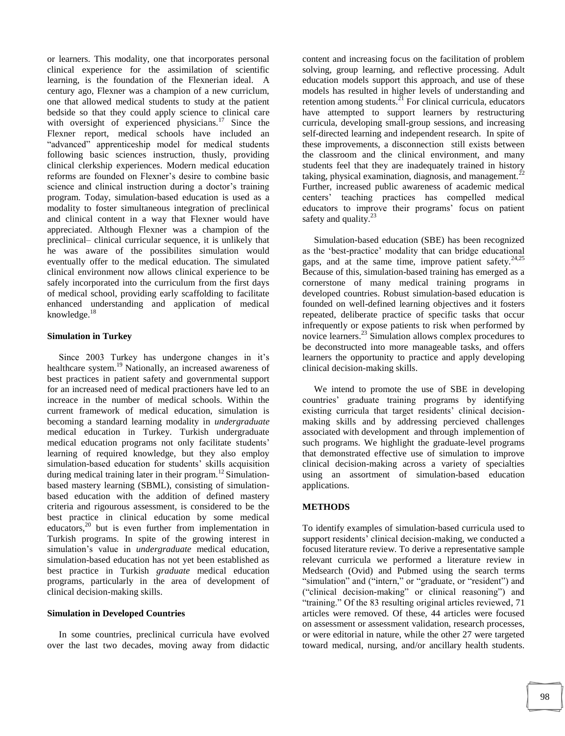or learners. This modality, one that incorporates personal clinical experience for the assimilation of scientific learning, is the foundation of the Flexnerian ideal. A century ago, Flexner was a champion of a new curriclum, one that allowed medical students to study at the patient bedside so that they could apply science to clinical care with oversight of experienced physicians.<sup>17</sup> Since the Flexner report, medical schools have included an "advanced" apprenticeship model for medical students following basic sciences instruction, thusly, providing clinical clerkship experiences. Modern medical education reforms are founded on Flexner"s desire to combine basic science and clinical instruction during a doctor's training program. Today, simulation-based education is used as a modality to foster simultaneous integration of preclinical and clinical content in a way that Flexner would have appreciated. Although Flexner was a champion of the preclinical– clinical curricular sequence, it is unlikely that he was aware of the possibilites simulation would eventually offer to the medical education. The simulated clinical environment now allows clinical experience to be safely incorporated into the curriculum from the first days of medical school, providing early scaffolding to facilitate enhanced understanding and application of medical knowledge.<sup>18</sup>

## **Simulation in Turkey**

Since 2003 Turkey has undergone changes in it's healthcare system.<sup>19</sup> Nationally, an increased awareness of best practices in patient safety and governmental support for an increased need of medical practioners have led to an increace in the number of medical schools. Within the current framework of medical education, simulation is becoming a standard learning modality in *undergraduate* medical education in Turkey. Turkish undergraduate medical education programs not only facilitate students' learning of required knowledge, but they also employ simulation-based education for students' skills acquisition during medical training later in their program.<sup>12</sup> Simulationbased mastery learning (SBML), consisting of simulationbased education with the addition of defined mastery criteria and rigourous assessment, is considered to be the best practice in clinical education by some medical educators, $^{20}$  but is even further from implementation in Turkish programs. In spite of the growing interest in simulation"s value in *undergraduate* medical education, simulation-based education has not yet been established as best practice in Turkish *graduate* medical education programs, particularly in the area of development of clinical decision-making skills.

#### **Simulation in Developed Countries**

 In some countries, preclinical curricula have evolved over the last two decades, moving away from didactic

content and increasing focus on the facilitation of problem solving, group learning, and reflective processing. Adult education models support this approach, and use of these models has resulted in higher levels of understanding and retention among students. $^{21}$  For clinical curricula, educators have attempted to support learners by restructuring curricula, developing small-group sessions, and increasing self-directed learning and independent research. In spite of these improvements, a disconnection still exists between the classroom and the clinical environment, and many students feel that they are inadequately trained in history taking, physical examination, diagnosis, and management.<sup>2</sup> Further, increased public awareness of academic medical centers" teaching practices has compelled medical educators to improve their programs' focus on patient safety and quality. $^{23}$ 

 Simulation-based education (SBE) has been recognized as the "best-practice" modality that can bridge educational gaps, and at the same time, improve patient safety. $24,25$ Because of this, simulation-based training has emerged as a cornerstone of many medical training programs in developed countries. Robust simulation-based education is founded on well-defined learning objectives and it fosters repeated, deliberate practice of specific tasks that occur infrequently or expose patients to risk when performed by novice learners.<sup>23</sup> Simulation allows complex procedures to be deconstructed into more manageable tasks, and offers learners the opportunity to practice and apply developing clinical decision-making skills.

 We intend to promote the use of SBE in developing countries" graduate training programs by identifying existing curricula that target residents' clinical decisionmaking skills and by addressing percieved challenges associated with development and through implemention of such programs. We highlight the graduate-level programs that demonstrated effective use of simulation to improve clinical decision-making across a variety of specialties using an assortment of simulation-based education applications.

## **METHODS**

To identify examples of simulation-based curricula used to support residents' clinical decision-making, we conducted a focused literature review. To derive a representative sample relevant curricula we performed a literature review in Medsearch (Ovid) and Pubmed using the search terms "simulation" and ("intern," or "graduate, or "resident") and ("clinical decision-making" or clinical reasoning") and "training." Of the 83 resulting original articles reviewed, 71 articles were removed. Of these, 44 articles were focused on assessment or assessment validation, research processes, or were editorial in nature, while the other 27 were targeted toward medical, nursing, and/or ancillary health students.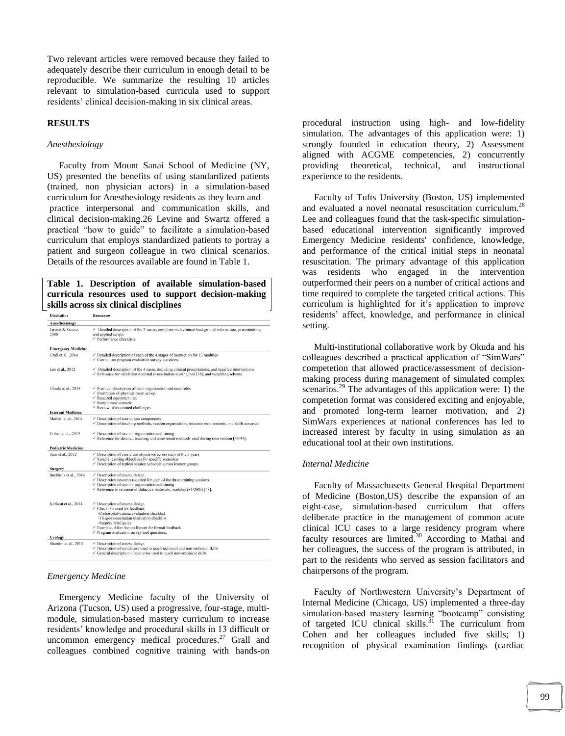Two relevant articles were removed because they failed to adequately describe their curriculum in enough detail to be reproducible. We summarize the resulting 10 articles relevant to simulation-based curricula used to support residents' clinical decision-making in six clinical areas.

#### **RESULTS**

## *Anesthesiology*

Faculty from Mount Sanai School of Medicine (NY, US) presented the benefits of using standardized patients (trained, non physician actors) in a simulation-based curriculum for Anesthesiology residents as they learn and practice interpersonal and communication skills, and clinical decision-making.26 Levine and Swartz offered a practical "how to guide" to facilitate a simulation-based curriculum that employs standardized patients to portray a patient and surgeon colleague in two clinical scenarios. Details of the resources available are found in Table 1.

#### **Table 1. Description of available simulation-based curricula resources used to support decision-making skills across six clinical disciplines** Resources

| <b>Disclipline</b> |
|--------------------|
|--------------------|

| <b>Anesthesiology</b>                   |                                                                                                                                                                                                                         |
|-----------------------------------------|-------------------------------------------------------------------------------------------------------------------------------------------------------------------------------------------------------------------------|
| Levine & Swartz,<br>2008                | $\checkmark$ Detailed description of the 2 cases, complete with clinical background information, presentations,<br>and applied scripts<br>$\checkmark$ Performance checklists                                           |
| <b>Emergency Medicine</b>               |                                                                                                                                                                                                                         |
| Grall et al., 2014                      | $\checkmark$ Detailed description of each of the 4 stages of instruction for 13 modules<br>$\checkmark$ Curriculum program evaluation survey questions.                                                                 |
| Lee et al., 2012                        | $\checkmark$ Detailed description of the 4 cases, including clinical presentations, and required interventions<br>$\checkmark$ Reference for validation neonatal resuscitation scoring tool [38], and weighting scheme. |
| Okuda et al., 2014                      | $\checkmark$ Practical description of team organization and case roles                                                                                                                                                  |
|                                         | √ Illustration of physical room set-up<br>$\checkmark$ Required equipment list                                                                                                                                          |
|                                         | $\checkmark$ Sample case scenario                                                                                                                                                                                       |
|                                         | $\checkmark$ Review of associated challenges.                                                                                                                                                                           |
| <b>Internal Medicine</b>                |                                                                                                                                                                                                                         |
| Mathai et al., 2014                     | $\checkmark$ Description of curriculum components<br>Description of teaching methods, session organization, resource requirements, and skills assessed                                                                  |
| Cohen et al., 2013                      | $\checkmark$ Description of session organization and timing<br>$\checkmark$ Reference for detailed teaching and assessment methods used during intervention [40-44].                                                    |
| <b>Pediatric Medicine</b>               |                                                                                                                                                                                                                         |
| Sam et al., 2012                        | $\checkmark$ Description of curriclum objectives across each of the 3 years                                                                                                                                             |
|                                         | $\checkmark$ Sample learning objectives for specific scenarios                                                                                                                                                          |
|                                         | $\checkmark$ Description of typical session schedule across learner groups.                                                                                                                                             |
| <b>Surgery</b><br>Buchholz et al., 2014 |                                                                                                                                                                                                                         |
|                                         | $\checkmark$ Description of course design<br>$\checkmark$ Description resourcs required for each of the three training sessions                                                                                         |
|                                         | $\checkmark$ Description of session organization and timing                                                                                                                                                             |
|                                         | √ Reference to resource of didactice materials, modules (SCORE) [48].                                                                                                                                                   |
| Kellicut et al., 2014                   | $\checkmark$ Description of course design                                                                                                                                                                               |
|                                         | $\checkmark$ Checklists used for feedback                                                                                                                                                                               |
|                                         | -Prehospital-trauma evaluation checklist                                                                                                                                                                                |
|                                         | -Triage/resuscitation evaluation checklist<br>-Surgery brief guide                                                                                                                                                      |
|                                         | √ Example, After Action Report for formal feedback                                                                                                                                                                      |
|                                         | $\checkmark$ Program evaluation survey tool questions.                                                                                                                                                                  |
| <b>Urology</b>                          |                                                                                                                                                                                                                         |
| Shamim et al., 2013                     | $\checkmark$ Description of course design                                                                                                                                                                               |
|                                         | √ Description of simulators used to teach technical and non-technical skills                                                                                                                                            |
|                                         | General description of scenarios used to teach non-technical skills.                                                                                                                                                    |

#### *Emergency Medicine*

Emergency Medicine faculty of the University of Arizona (Tucson, US) used a progressive, four-stage, multimodule, simulation-based mastery curriculum to increase residents" knowledge and procedural skills in 13 difficult or uncommon emergency medical procedures.<sup>27</sup> Grall and colleagues combined cognitive training with hands-on

procedural instruction using high- and low-fidelity simulation. The advantages of this application were: 1) strongly founded in education theory, 2) Assessment aligned with ACGME competencies, 2) concurrently providing theoretical, technical, and instructional experience to the residents.

 Faculty of Tufts University (Boston, US) implemented and evaluated a novel neonatal resuscitation curriculum.<sup>28</sup> Lee and colleagues found that the task-specific simulationbased educational intervention significantly improved Emergency Medicine residents' confidence, knowledge, and performance of the critical initial steps in neonatal resuscitation. The primary advantage of this application was residents who engaged in the intervention outperformed their peers on a number of critical actions and time required to complete the targeted critical actions. This curriculum is highlighted for it's application to improve residents" affect, knowledge, and performance in clinical setting.

 Multi-institutional collaborative work by Okuda and his colleagues described a practical application of "SimWars" competetion that allowed practice/assessment of decisionmaking process during management of simulated complex scenarios.<sup>29</sup> The advantages of this application were: 1) the competetion format was considered exciting and enjoyable, and promoted long-term learner motivation, and 2) SimWars experiences at national conferences has led to increased interest by faculty in using simulation as an educational tool at their own institutions.

#### *Internal Medicine*

 Faculty of Massachusetts General Hospital Department of Medicine (Boston,US) describe the expansion of an eight-case, simulation-based curriculum that offers deliberate practice in the management of common acute clinical ICU cases to a large residency program where faculty resources are limited.<sup>30</sup> According to Mathai and her colleagues, the success of the program is attributed, in part to the residents who served as session facilitators and chairpersons of the program.

Faculty of Northwestern University's Department of Internal Medicine (Chicago, US) implemented a three-day simulation-based mastery learning "bootcamp" consisting of targeted ICU clinical skills.<sup>31</sup> The curriculum from Cohen and her colleagues included five skills; 1) recognition of physical examination findings (cardiac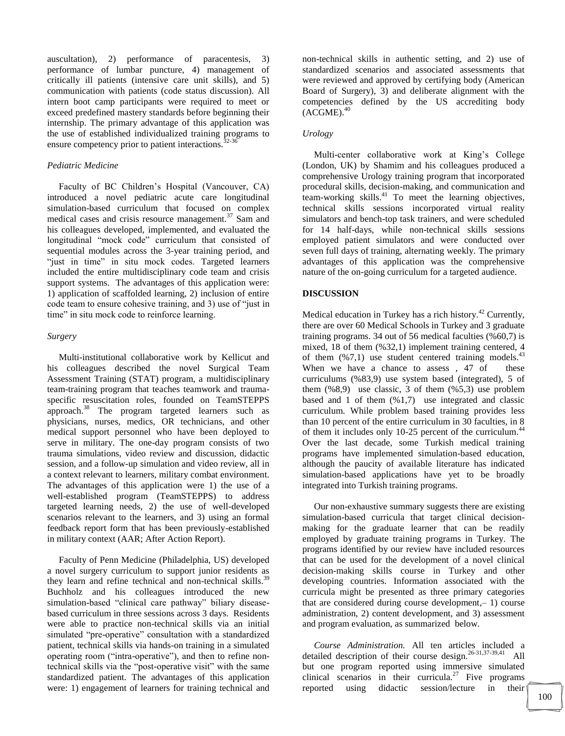auscultation), 2) performance of paracentesis, 3) performance of lumbar puncture, 4) management of critically ill patients (intensive care unit skills), and 5) communication with patients (code status discussion). All intern boot camp participants were required to meet or exceed predefined mastery standards before beginning their internship. The primary advantage of this application was the use of established individualized training programs to ensure competency prior to patient interactions. $32-36$ 

## *Pediatric Medicine*

 Faculty of BC Children"s Hospital (Vancouver, CA) introduced a novel pediatric acute care longitudinal simulation-based curriculum that focused on complex medical cases and crisis resource management. $37$  Sam and his colleagues developed, implemented, and evaluated the longitudinal "mock code" curriculum that consisted of sequential modules across the 3-year training period, and "just in time" in situ mock codes. Targeted learners included the entire multidisciplinary code team and crisis support systems. The advantages of this application were: 1) application of scaffolded learning, 2) inclusion of entire code team to ensure cohesive training, and 3) use of "just in time" in situ mock code to reinforce learning.

#### *Surgery*

 Multi-institutional collaborative work by Kellicut and his colleagues described the novel Surgical Team Assessment Training (STAT) program, a multidisciplinary team-training program that teaches teamwork and traumaspecific resuscitation roles, founded on TeamSTEPPS approach.<sup>38</sup> The program targeted learners such as physicians, nurses, medics, OR technicians, and other medical support personnel who have been deployed to serve in military. The one-day program consists of two trauma simulations, video review and discussion, didactic session, and a follow-up simulation and video review, all in a context relevant to learners, military combat environment. The advantages of this application were 1) the use of a well-established program (TeamSTEPPS) to address targeted learning needs, 2) the use of well-developed scenarios relevant to the learners, and 3) using an formal feedback report form that has been previously-established in military context (AAR; After Action Report).

 Faculty of Penn Medicine (Philadelphia, US) developed a novel surgery curriculum to support junior residents as they learn and refine technical and non-technical skills.<sup>39</sup> Buchholz and his colleagues introduced the new simulation-based "clinical care pathway" biliary diseasebased curriculum in three sessions across 3 days. Residents were able to practice non-technical skills via an initial simulated "pre-operative" consultation with a standardized patient, technical skills via hands-on training in a simulated operating room ("intra-operative"), and then to refine nontechnical skills via the "post-operative visit" with the same standardized patient. The advantages of this application were: 1) engagement of learners for training technical and non-technical skills in authentic setting, and 2) use of standardized scenarios and associated assessments that were reviewed and approved by certifying body (American Board of Surgery), 3) and deliberate alignment with the competencies defined by the US accrediting body  $(ACGME).<sup>40</sup>$ 

#### *Urology*

 Multi-center collaborative work at King"s College (London, UK) by Shamim and his colleagues produced a comprehensive Urology training program that incorporated procedural skills, decision-making, and communication and team-working skills. <sup>41</sup> To meet the learning objectives, technical skills sessions incorporated virtual reality simulators and bench-top task trainers, and were scheduled for 14 half-days, while non-technical skills sessions employed patient simulators and were conducted over seven full days of training, alternating weekly. The primary advantages of this application was the comprehensive nature of the on-going curriculum for a targeted audience.

## **DISCUSSION**

Medical education in Turkey has a rich history.<sup>42</sup> Currently, there are over 60 Medical Schools in Turkey and 3 graduate training programs. 34 out of 56 medical faculties (%60,7) is mixed, 18 of them (%32,1) implement training centered, 4 of them  $(\frac{6}{7}, 1)$  use student centered training models.<sup>43</sup> When we have a chance to assess, 47 of these curriculums (%83,9) use system based (integrated), 5 of them  $(\%8,9)$  use classic, 3 of them  $(\%5,3)$  use problem based and 1 of them (%1,7) use integrated and classic curriculum. While problem based training provides less than 10 percent of the entire curriculum in 30 faculties, in 8 of them it includes only 10-25 percent of the curriculum.<sup>44</sup> Over the last decade, some Turkish medical training programs have implemented simulation-based education, although the paucity of available literature has indicated simulation-based applications have yet to be broadly integrated into Turkish training programs.

 Our non-exhaustive summary suggests there are existing simulation-based curricula that target clinical decisionmaking for the graduate learner that can be readily employed by graduate training programs in Turkey. The programs identified by our review have included resources that can be used for the development of a novel clinical decision-making skills course in Turkey and other developing countries. Information associated with the curricula might be presented as three primary categories that are considered during course development,– 1) course administration, 2) content development, and 3) assessment and program evaluation, as summarized below.

 *Course Administration.* All ten articles included a detailed description of their course design.<sup>26-31,37-39,41</sup> All but one program reported using immersive simulated clinical scenarios in their curricula.<sup>27</sup> Five programs reported using didactic session/lecture in their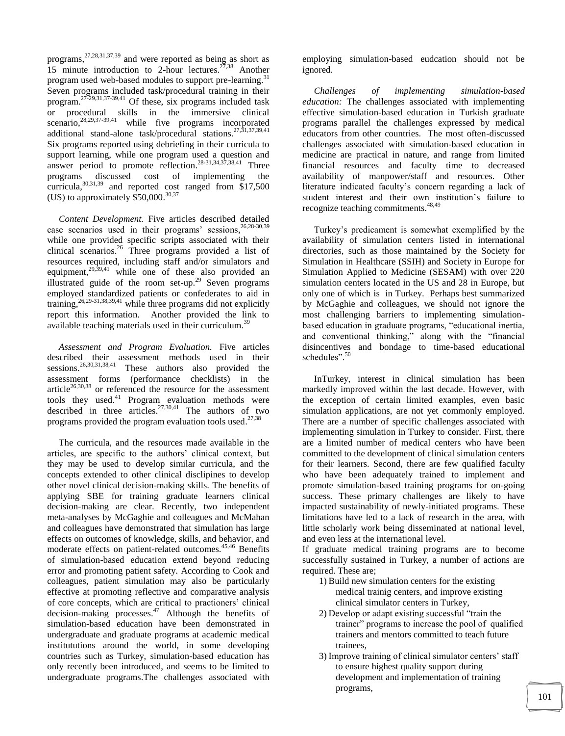programs,<sup>27,28,31,37,39</sup> and were reported as being as short as 15 minute introduction to 2-hour lectures.  $27,38$  Another program used web-based modules to support pre-learning.<sup>31</sup> Seven programs included task/procedural training in their program. 27-29,31,37-39,41 Of these, six programs included task or procedural skills in the immersive clinical scenario, <sup>28, 29, 37-39, 41</sup> while five programs incorporated additional stand-alone task/procedural stations.<sup>27,31,37,39,41</sup> Six programs reported using debriefing in their curricula to support learning, while one program used a question and answer period to promote reflection.<sup>28-31,34,37,38,41</sup> Three programs discussed cost of implementing the curricula,  $30,31,39$  and reported cost ranged from \$17,500 (US) to approximately  $$50,000.<sup>30,37</sup>$ 

 *Content Development.* Five articles described detailed case scenarios used in their programs' sessions,  $26,28-30,39$ while one provided specific scripts associated with their clinical scenarios. <sup>26</sup> Three programs provided a list of resources required, including staff and/or simulators and equipment, <sup>29,39,41</sup> while one of these also provided an illustrated guide of the room set-up.<sup>29</sup> Seven programs employed standardized patients or confederates to aid in training,  $26,29-31,38,39,41$  while three programs did not explicitly report this information. Another provided the link to available teaching materials used in their curriculum.<sup>39</sup>

 *Assessment and Program Evaluation.* Five articles described their assessment methods used in their sessions.<sup>26,30,31,38,41</sup> These authors also provided the assessment forms (performance checklists) in the article<sup>26,30,38</sup> or referenced the resource for the assessment tools they used. <sup>41</sup> Program evaluation methods were described in three articles.<sup>27,30,41</sup> The authors of two programs provided the program evaluation tools used.<sup>27,38</sup>

 The curricula, and the resources made available in the articles, are specific to the authors" clinical context, but they may be used to develop similar curricula, and the concepts extended to other clinical disclipines to develop other novel clinical decision-making skills. The benefits of applying SBE for training graduate learners clinical decision-making are clear. Recently, two independent meta-analyses by McGaghie and colleagues and McMahan and colleagues have demonstrated that simulation has large effects on outcomes of knowledge, skills, and behavior, and moderate effects on patient-related outcomes.<sup>45,46</sup> Benefits of simulation-based education extend beyond reducing error and promoting patient safety. According to Cook and colleagues, patient simulation may also be particularly effective at promoting reflective and comparative analysis of core concepts, which are critical to practioners" clinical decision-making processes.<sup>47</sup> Although the benefits of simulation-based education have been demonstrated in undergraduate and graduate programs at academic medical institututions around the world, in some developing countries such as Turkey, simulation-based education has only recently been introduced, and seems to be limited to undergraduate programs.The challenges associated with employing simulation-based eudcation should not be ignored.

 *Challenges of implementing simulation-based education:* The challenges associated with implementing effective simulation-based education in Turkish graduate programs parallel the challenges expressed by medical educators from other countries. The most often-discussed challenges associated with simulation-based education in medicine are practical in nature, and range from limited financial resources and faculty time to decreased availability of manpower/staff and resources. Other literature indicated faculty's concern regarding a lack of student interest and their own institution"s failure to recognize teaching commitments.<sup>48,49</sup>

 Turkey"s predicament is somewhat exemplified by the availability of simulation centers listed in international directories, such as those maintained by the Society for Simulation in Healthcare (SSIH) and Society in Europe for Simulation Applied to Medicine (SESAM) with over 220 simulation centers located in the US and 28 in Europe, but only one of which is in Turkey. Perhaps best summarized by McGaghie and colleagues, we should not ignore the most challenging barriers to implementing simulationbased education in graduate programs, "educational inertia, and conventional thinking," along with the "financial disincentives and bondage to time-based educational schedules".<sup>50</sup>

 InTurkey, interest in clinical simulation has been markedly improved within the last decade. However, with the exception of certain limited examples, even basic simulation applications, are not yet commonly employed. There are a number of specific challenges associated with implementing simulation in Turkey to consider. First, there are a limited number of medical centers who have been committed to the development of clinical simulation centers for their learners. Second, there are few qualified faculty who have been adequately trained to implement and promote simulation-based training programs for on-going success. These primary challenges are likely to have impacted sustainability of newly-initiated programs. These limitations have led to a lack of research in the area, with little scholarly work being disseminated at national level, and even less at the international level.

If graduate medical training programs are to become successfully sustained in Turkey, a number of actions are required. These are;

- 1) Build new simulation centers for the existing medical trainig centers, and improve existing clinical simulator centers in Turkey,
- 2) Develop or adapt existing successful "train the trainer" programs to increase the pool of qualified trainers and mentors committed to teach future trainees,
- 3) Improve training of clinical simulator centers' staff to ensure highest quality support during development and implementation of training programs,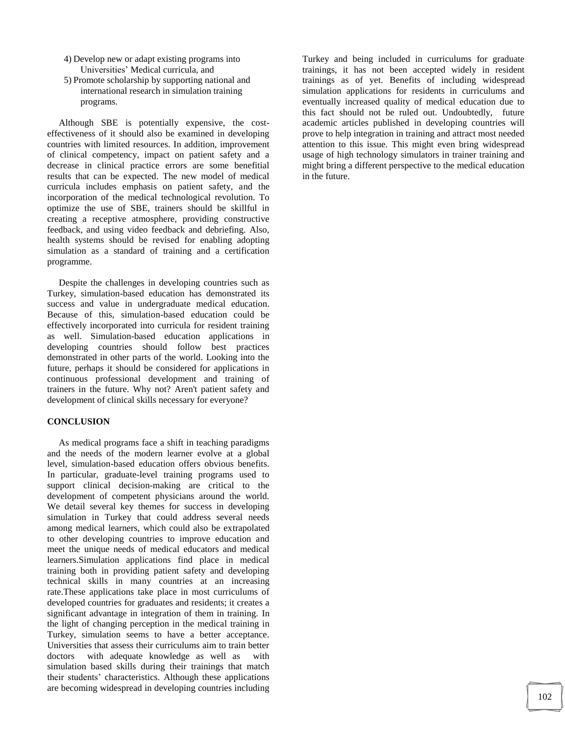- 4) Develop new or adapt existing programs into Universities" Medical curricula, and
- 5) Promote scholarship by supporting national and international research in simulation training programs.

 Although SBE is potentially expensive, the costeffectiveness of it should also be examined in developing countries with limited resources. In addition, improvement of clinical competency, impact on patient safety and a decrease in clinical practice errors are some benefitial results that can be expected. The new model of medical curricula includes emphasis on patient safety, and the incorporation of the medical technological revolution. To optimize the use of SBE, trainers should be skillful in creating a receptive atmosphere, providing constructive feedback, and using video feedback and debriefing. Also, health systems should be revised for enabling adopting simulation as a standard of training and a certification programme.

 Despite the challenges in developing countries such as Turkey, simulation-based education has demonstrated its success and value in undergraduate medical education. Because of this, simulation-based education could be effectively incorporated into curricula for resident training as well. Simulation-based education applications in developing countries should follow best practices demonstrated in other parts of the world. Looking into the future, perhaps it should be considered for applications in continuous professional development and training of trainers in the future. Why not? Aren't patient safety and development of clinical skills necessary for everyone?

## **CONCLUSION**

 As medical programs face a shift in teaching paradigms and the needs of the modern learner evolve at a global level, simulation-based education offers obvious benefits. In particular, graduate-level training programs used to support clinical decision-making are critical to the development of competent physicians around the world. We detail several key themes for success in developing simulation in Turkey that could address several needs among medical learners, which could also be extrapolated to other developing countries to improve education and meet the unique needs of medical educators and medical learners.Simulation applications find place in medical training both in providing patient safety and developing technical skills in many countries at an increasing rate.These applications take place in most curriculums of developed countries for graduates and residents; it creates a significant advantage in integration of them in training. In the light of changing perception in the medical training in Turkey, simulation seems to have a better acceptance. Universities that assess their curriculums aim to train better doctors with adequate knowledge as well as with simulation based skills during their trainings that match their students" characteristics. Although these applications are becoming widespread in developing countries including

Turkey and being included in curriculums for graduate trainings, it has not been accepted widely in resident trainings as of yet. Benefits of including widespread simulation applications for residents in curriculums and eventually increased quality of medical education due to this fact should not be ruled out. Undoubtedly, future academic articles published in developing countries will prove to help integration in training and attract most needed attention to this issue. This might even bring widespread usage of high technology simulators in trainer training and might bring a different perspective to the medical education in the future.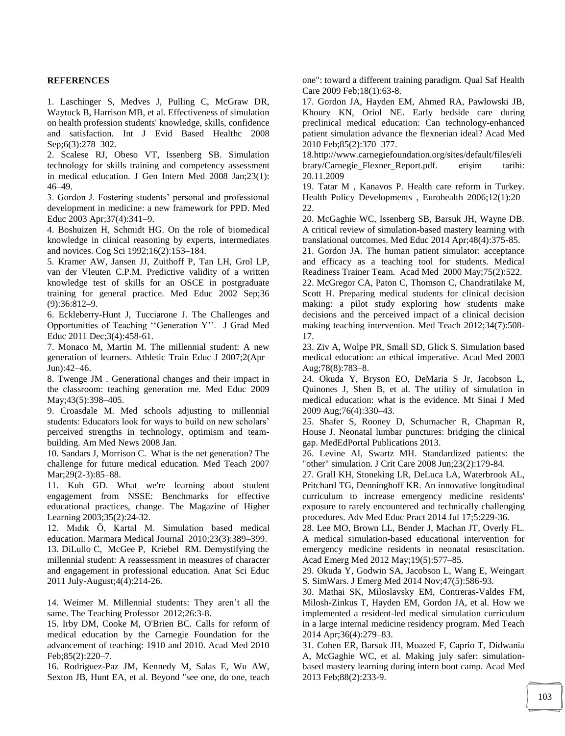## **REFERENCES**

1. Laschinger S, Medves J, Pulling C, McGraw DR, Waytuck B, Harrison MB, et al. Effectiveness of simulation on health profession students' knowledge, skills, confidence and satisfaction. Int J Evid Based Healthc 2008 Sep;6(3):278–302.

2. Scalese RJ, Obeso VT, Issenberg SB. Simulation technology for skills training and competency assessment in medical education. J Gen Intern Med 2008 Jan;23(1): 46–49.

3. Gordon J. Fostering students" personal and professional development in medicine: a new framework for PPD. Med Educ 2003 Apr;37(4):341–9.

4. Boshuizen H, Schmidt HG. On the role of biomedical knowledge in clinical reasoning by experts, intermediates and novices. Cog Sci 1992;16(2):153–184.

5. Kramer AW, Jansen JJ, Zuithoff P, Tan LH, Grol LP, van der Vleuten C.P.M. Predictive validity of a written knowledge test of skills for an OSCE in postgraduate training for general practice. Med Educ 2002 Sep;36 (9):36:812–9.

6. Eckleberry-Hunt J, Tucciarone J. The Challenges and Opportunities of Teaching "Generation Y". J Grad Med Educ 2011 Dec;3(4):458-61.

7. Monaco M, Martin M. The millennial student: A new generation of learners. Athletic Train Educ J 2007;2(Apr– Jun):42–46.

8. Twenge JM . Generational changes and their impact in the classroom: teaching generation me. Med Educ 2009 May; 43(5): 398–405.

9. Croasdale M. Med schools adjusting to millennial students: Educators look for ways to build on new scholars' perceived strengths in technology, optimism and teambuilding. Am Med News 2008 Jan.

10. Sandars J, Morrison C. What is the net generation? The challenge for future medical education. Med Teach 2007 Mar; 29(2-3): 85-88.

11. Kuh GD. What we're learning about student engagement from NSSE: Benchmarks for effective educational practices, change. The Magazine of Higher Learning 2003;35(2):24-32.

12. Mıdık Ö, Kartal M. Simulation based medical education. Marmara Medical Journal 2010;23(3):389–399.

13. DiLullo C, McGee P, Kriebel RM. Demystifying the millennial student: A reassessment in measures of character and engagement in professional education. Anat Sci Educ 2011 July-August;4(4):214-26.

14. Weimer M. Millennial students: They aren't all the same. The Teaching Professor 2012;26:3-8.

15. Irby DM, Cooke M, O'Brien BC. Calls for reform of medical education by the Carnegie Foundation for the advancement of teaching: 1910 and 2010. Acad Med 2010 Feb;85(2):220–7.

16. Rodriguez-Paz JM, Kennedy M, Salas E, Wu AW, Sexton JB, Hunt EA, et al. Beyond "see one, do one, teach one": toward a different training paradigm. Qual Saf Health Care 2009 Feb;18(1):63-8.

17. Gordon JA, Hayden EM, Ahmed RA, Pawlowski JB, Khoury KN, Oriol NE. Early bedside care during preclinical medical education: Can technology-enhanced patient simulation advance the flexnerian ideal? Acad Med 2010 Feb;85(2):370–377.

18.http://www.carnegiefoundation.org/sites/default/files/eli brary/Carnegie\_Flexner\_Report.pdf. erişim tarihi: 20.11.2009

19. Tatar M , Kanavos P. Health care reform in Turkey. Health Policy Developments , Eurohealth 2006;12(1):20– 22.

20. McGaghie WC, Issenberg SB, Barsuk JH, Wayne DB. A critical review of simulation-based mastery learning with translational outcomes. Med Educ 2014 Apr;48(4):375-85.

21. Gordon JA. The human patient simulator: acceptance and efficacy as a teaching tool for students. Medical Readiness Trainer Team. Acad Med 2000 May;75(2):522. 22. McGregor CA, Paton C, Thomson C, Chandratilake M, Scott H. Preparing medical students for clinical decision making: a pilot study exploring how students make decisions and the perceived impact of a clinical decision making teaching intervention. Med Teach 2012;34(7):508- 17.

23. Ziv A, Wolpe PR, Small SD, Glick S. Simulation based medical education: an ethical imperative. Acad Med 2003 Aug;78(8):783–8.

24. Okuda Y, Bryson EO, DeMaria S Jr, Jacobson L, Quinones J, Shen B, et al. The utility of simulation in medical education: what is the evidence. Mt Sinai J Med 2009 Aug;76(4):330–43.

25. Shafer S, Rooney D, Schumacher R, Chapman R, House J. Neonatal lumbar punctures: bridging the clinical gap. MedEdPortal Publications 2013.

26. Levine AI, Swartz MH. Standardized patients: the "other" simulation. J Crit Care 2008 Jun;23(2):179-84.

27. Grall KH, Stoneking LR, DeLuca LA, Waterbrook AL, Pritchard TG, Denninghoff KR. An innovative longitudinal curriculum to increase emergency medicine residents' exposure to rarely encountered and technically challenging procedures. Adv Med Educ Pract 2014 Jul 17;5:229-36.

28. Lee MO, Brown LL, Bender J, Machan JT, Overly FL. A medical simulation-based educational intervention for emergency medicine residents in neonatal resuscitation. Acad Emerg Med 2012 May;19(5):577–85.

29. Okuda Y, Godwin SA, Jacobson L, Wang E, Weingart S. SimWars. J Emerg Med 2014 Nov;47(5):586-93.

30. Mathai SK, Miloslavsky EM, Contreras-Valdes FM, Milosh-Zinkus T, Hayden EM, Gordon JA, et al. How we implemented a resident-led medical simulation curriculum in a large internal medicine residency program. Med Teach 2014 Apr;36(4):279–83.

31. Cohen ER, Barsuk JH, Moazed F, Caprio T, Didwania A, McGaghie WC, et al. Making july safer: simulationbased mastery learning during intern boot camp. Acad Med 2013 Feb;88(2):233-9.